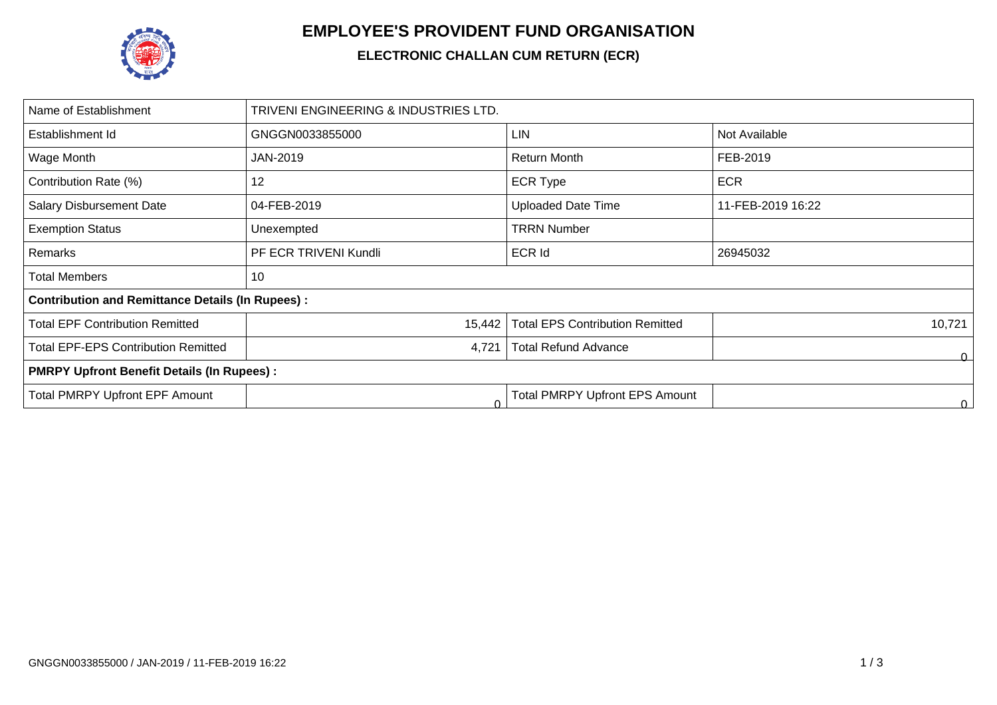

## **EMPLOYEE'S PROVIDENT FUND ORGANISATION**

## **ELECTRONIC CHALLAN CUM RETURN (ECR)**

| Name of Establishment                                   | TRIVENI ENGINEERING & INDUSTRIES LTD. |                                        |                   |  |  |  |  |
|---------------------------------------------------------|---------------------------------------|----------------------------------------|-------------------|--|--|--|--|
| Establishment Id                                        | GNGGN0033855000                       | <b>LIN</b>                             | Not Available     |  |  |  |  |
| Wage Month                                              | JAN-2019                              | <b>Return Month</b>                    | FEB-2019          |  |  |  |  |
| Contribution Rate (%)                                   | 12                                    | <b>ECR Type</b>                        | <b>ECR</b>        |  |  |  |  |
| <b>Salary Disbursement Date</b>                         | 04-FEB-2019                           | <b>Uploaded Date Time</b>              | 11-FEB-2019 16:22 |  |  |  |  |
| <b>Exemption Status</b>                                 | Unexempted                            | <b>TRRN Number</b>                     |                   |  |  |  |  |
| Remarks                                                 | PF ECR TRIVENI Kundli                 | <b>ECR Id</b>                          | 26945032          |  |  |  |  |
| <b>Total Members</b>                                    | 10                                    |                                        |                   |  |  |  |  |
| <b>Contribution and Remittance Details (In Rupees):</b> |                                       |                                        |                   |  |  |  |  |
| <b>Total EPF Contribution Remitted</b>                  | 15,442                                | <b>Total EPS Contribution Remitted</b> | 10,721            |  |  |  |  |
| <b>Total EPF-EPS Contribution Remitted</b>              | 4,721                                 | <b>Total Refund Advance</b>            | 0                 |  |  |  |  |
| <b>PMRPY Upfront Benefit Details (In Rupees):</b>       |                                       |                                        |                   |  |  |  |  |
| <b>Total PMRPY Upfront EPF Amount</b>                   |                                       | <b>Total PMRPY Upfront EPS Amount</b>  | 0.                |  |  |  |  |
|                                                         |                                       |                                        |                   |  |  |  |  |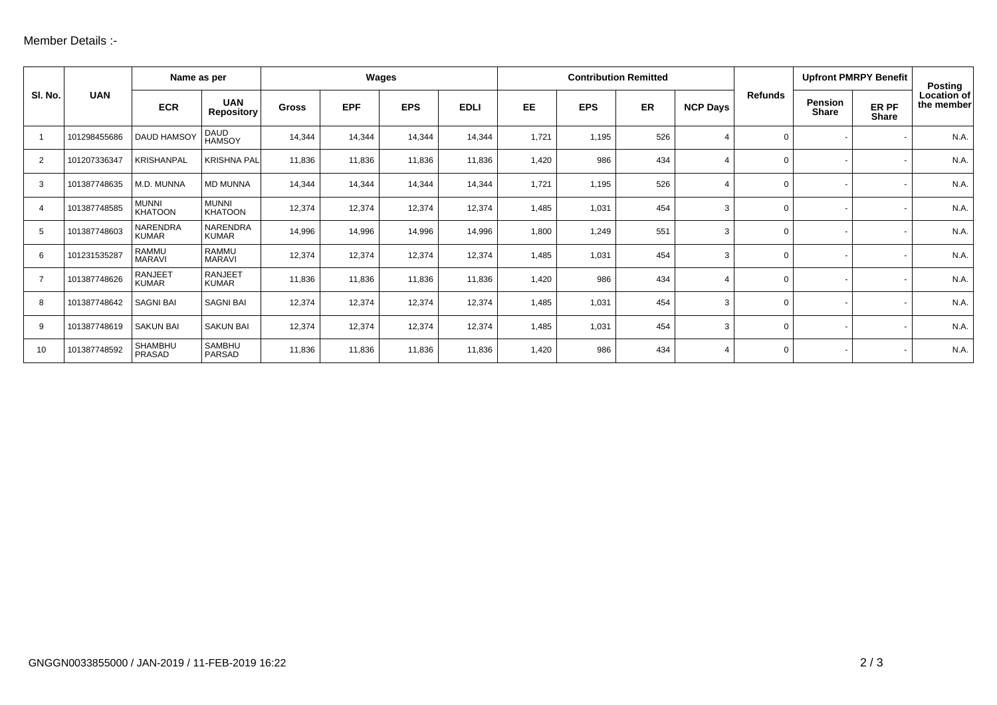| SI. No.        |              |                                | Name as per                     |              | Wages      |            |             | <b>Contribution Remitted</b> |            |     |                 |                | <b>Upfront PMRPY Benefit</b> |                       | <b>Posting</b>            |
|----------------|--------------|--------------------------------|---------------------------------|--------------|------------|------------|-------------|------------------------------|------------|-----|-----------------|----------------|------------------------------|-----------------------|---------------------------|
|                | <b>UAN</b>   | <b>ECR</b>                     | <b>UAN</b><br><b>Repository</b> | <b>Gross</b> | <b>EPF</b> | <b>EPS</b> | <b>EDLI</b> | <b>EE</b>                    | <b>EPS</b> | ER  | <b>NCP Days</b> | <b>Refunds</b> | <b>Pension</b><br>Share      | ER PF<br><b>Share</b> | Location of<br>the member |
|                | 101298455686 | <b>DAUD HAMSOY</b>             | DAUD<br>HAMSOY                  | 14,344       | 14,344     | 14,344     | 14,344      | 1,721                        | 1,195      | 526 | 4               | $\mathbf 0$    |                              |                       | N.A.                      |
| 2              | 101207336347 | <b>KRISHANPAL</b>              | <b>KRISHNA PAL</b>              | 11,836       | 11,836     | 11,836     | 11,836      | 1,420                        | 986        | 434 | 4               | $\Omega$       |                              |                       | N.A.                      |
| 3              | 101387748635 | M.D. MUNNA                     | <b>MD MUNNA</b>                 | 14,344       | 14,344     | 14,344     | 14,344      | 1,721                        | 1,195      | 526 | 4               | $\Omega$       |                              |                       | N.A.                      |
| 4              | 101387748585 | <b>MUNNI</b><br><b>KHATOON</b> | <b>MUNNI</b><br><b>KHATOON</b>  | 12,374       | 12,374     | 12,374     | 12,374      | 1,485                        | 1,031      | 454 | 3               | $\Omega$       |                              |                       | N.A.                      |
| 5              | 101387748603 | NARENDRA<br><b>KUMAR</b>       | NARENDRA<br><b>KUMAR</b>        | 14,996       | 14,996     | 14,996     | 14,996      | 1,800                        | 1,249      | 551 | 3               | $\Omega$       |                              |                       | N.A.                      |
| 6              | 101231535287 | <b>RAMMU</b><br><b>MARAVI</b>  | <b>RAMMU</b><br><b>MARAVI</b>   | 12,374       | 12,374     | 12,374     | 12,374      | 1,485                        | 1,031      | 454 | 3               | $\Omega$       |                              |                       | N.A.                      |
| $\overline{7}$ | 101387748626 | <b>RANJEET</b><br><b>KUMAR</b> | <b>RANJEET</b><br><b>KUMAR</b>  | 11,836       | 11,836     | 11,836     | 11,836      | 1,420                        | 986        | 434 | 4               | $\Omega$       |                              |                       | N.A.                      |
| 8              | 101387748642 | <b>SAGNI BAI</b>               | <b>SAGNI BAI</b>                | 12,374       | 12,374     | 12,374     | 12,374      | 1,485                        | 1,031      | 454 | 3               | $\Omega$       |                              |                       | N.A.                      |
| 9              | 101387748619 | <b>SAKUN BAI</b>               | <b>SAKUN BAI</b>                | 12,374       | 12,374     | 12,374     | 12,374      | 1,485                        | 1,031      | 454 | 3               | $\Omega$       |                              |                       | N.A.                      |
| 10             | 101387748592 | <b>SHAMBHU</b><br>PRASAD       | <b>SAMBHU</b><br>PARSAD         | 11,836       | 11,836     | 11,836     | 11,836      | 1,420                        | 986        | 434 | 4               | $\Omega$       |                              |                       | N.A.                      |
|                |              |                                |                                 |              |            |            |             |                              |            |     |                 |                |                              |                       |                           |